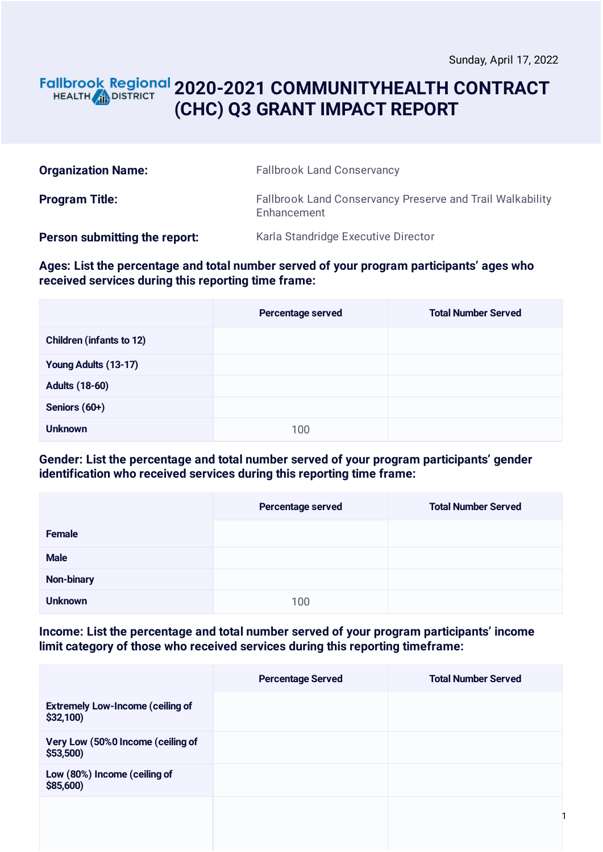### **2020-2021 COMMUNITYHEALTH CONTRACT** HEALTH **AND DISTRICT (CHC) Q3 GRANT IMPACT REPORT**

| <b>Organization Name:</b>     | <b>Fallbrook Land Conservancy</b>                                        |
|-------------------------------|--------------------------------------------------------------------------|
| <b>Program Title:</b>         | Fallbrook Land Conservancy Preserve and Trail Walkability<br>Enhancement |
| Person submitting the report: | Karla Standridge Executive Director                                      |

**Ages: List the percentage and total number served of your program participants' ages who received services during this reporting time frame:**

|                                 | Percentage served | <b>Total Number Served</b> |
|---------------------------------|-------------------|----------------------------|
| <b>Children (infants to 12)</b> |                   |                            |
| Young Adults (13-17)            |                   |                            |
| <b>Adults (18-60)</b>           |                   |                            |
| Seniors (60+)                   |                   |                            |
| <b>Unknown</b>                  | 100               |                            |

#### **Gender: List the percentage and total number served of your program participants' gender identification who received services during this reporting time frame:**

|                | Percentage served | <b>Total Number Served</b> |
|----------------|-------------------|----------------------------|
| Female         |                   |                            |
| <b>Male</b>    |                   |                            |
| Non-binary     |                   |                            |
| <b>Unknown</b> | 100               |                            |

**Income: List the percentage and total number served of your program participants' income limit category of those who received services during this reporting timeframe:**

|                                                     | <b>Percentage Served</b> | <b>Total Number Served</b> |
|-----------------------------------------------------|--------------------------|----------------------------|
| <b>Extremely Low-Income (ceiling of</b><br>\$32,100 |                          |                            |
| Very Low (50%0 Income (ceiling of<br>$$53,500$ )    |                          |                            |
| Low (80%) Income (ceiling of<br>\$85,600)           |                          |                            |
|                                                     |                          |                            |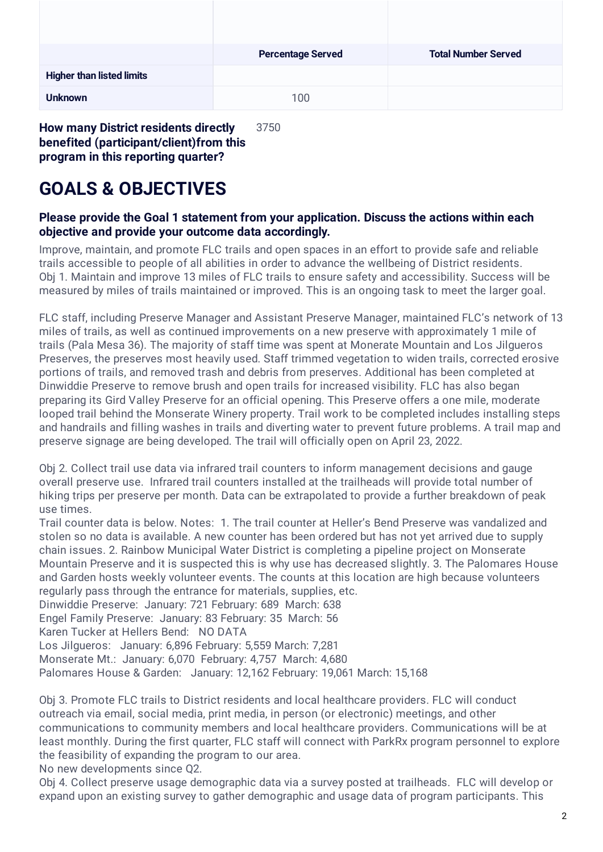|                                  | <b>Percentage Served</b> | <b>Total Number Served</b> |
|----------------------------------|--------------------------|----------------------------|
| <b>Higher than listed limits</b> |                          |                            |
| <b>Unknown</b>                   | 100                      |                            |

**How many District residents directly benefited (participant/client)from this program in this reporting quarter?** 3750

# **GOALS & OBJECTIVES**

### **Please provide the Goal 1 statement from your application. Discuss the actions within each objective and provide your outcome data accordingly.**

Improve, maintain, and promote FLC trails and open spaces in an effort to provide safe and reliable trails accessible to people of all abilities in order to advance the wellbeing of District residents. Obj 1. Maintain and improve 13 miles of FLC trails to ensure safety and accessibility. Success will be measured by miles of trails maintained or improved. This is an ongoing task to meet the larger goal.

FLC staff, including Preserve Manager and Assistant Preserve Manager, maintained FLC's network of 13 miles of trails, as well as continued improvements on a new preserve with approximately 1 mile of trails (Pala Mesa 36). The majority of staff time was spent at Monerate Mountain and Los Jilgueros Preserves, the preserves most heavily used. Staff trimmed vegetation to widen trails, corrected erosive portions of trails, and removed trash and debris from preserves. Additional has been completed at Dinwiddie Preserve to remove brush and open trails for increased visibility. FLC has also began preparing its Gird Valley Preserve for an official opening. This Preserve offers a one mile, moderate looped trail behind the Monserate Winery property. Trail work to be completed includes installing steps and handrails and filling washes in trails and diverting water to prevent future problems. A trail map and preserve signage are being developed. The trail will officially open on April 23, 2022.

Obj 2. Collect trail use data via infrared trail counters to inform management decisions and gauge overall preserve use. Infrared trail counters installed at the trailheads will provide total number of hiking trips per preserve per month. Data can be extrapolated to provide a further breakdown of peak use times.

Trail counter data is below. Notes: 1. The trail counter at Heller's Bend Preserve was vandalized and stolen so no data is available. A new counter has been ordered but has not yet arrived due to supply chain issues. 2. Rainbow Municipal Water District is completing a pipeline project on Monserate Mountain Preserve and it is suspected this is why use has decreased slightly. 3. The Palomares House and Garden hosts weekly volunteer events. The counts at this location are high because volunteers regularly pass through the entrance for materials, supplies, etc.

Dinwiddie Preserve: January: 721 February: 689 March: 638

Engel Family Preserve: January: 83 February: 35 March: 56

Karen Tucker at Hellers Bend: NO DATA

Los Jilgueros: January: 6,896 February: 5,559 March: 7,281

Monserate Mt.: January: 6,070 February: 4,757 March: 4,680

Palomares House & Garden: January: 12,162 February: 19,061 March: 15,168

Obj 3. Promote FLC trails to District residents and local healthcare providers. FLC will conduct outreach via email, social media, print media, in person (or electronic) meetings, and other communications to community members and local healthcare providers. Communications will be at least monthly. During the first quarter, FLC staff will connect with ParkRx program personnel to explore the feasibility of expanding the program to our area.

No new developments since Q2.

Obj 4. Collect preserve usage demographic data via a survey posted at trailheads. FLC will develop or expand upon an existing survey to gather demographic and usage data of program participants. This